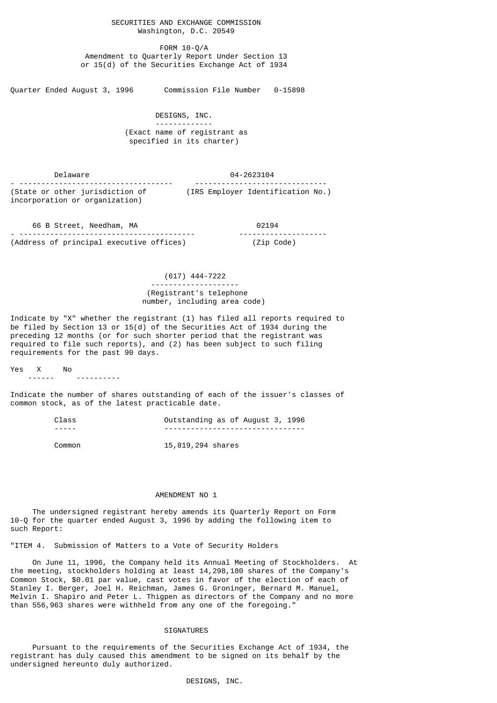## SECURITIES AND EXCHANGE COMMISSION Washington, D.C. 20549

 FORM 10-Q/A Amendment to Quarterly Report Under Section 13 or 15(d) of the Securities Exchange Act of 1934

Quarter Ended August 3, 1996 Commission File Number 0-15898

 DESIGNS, INC. ------------- (Exact name of registrant as specified in its charter)

 Delaware 04-2623104 - ----------------------------------- ------------------------------ (State or other jurisdiction of (IRS Employer Identification No.) incorporation or organization)

| 66 B Street, Needham, MA                 | 02194                 |
|------------------------------------------|-----------------------|
|                                          | --------------------- |
| (Address of principal executive offices) | (Zip Code)            |

 (617) 444-7222 -------------------- (Registrant's telephone number, including area code)

Indicate by "X" whether the registrant (1) has filed all reports required to be filed by Section 13 or 15(d) of the Securities Act of 1934 during the preceding 12 months (or for such shorter period that the registrant was required to file such reports), and (2) has been subject to such filing requirements for the past 90 days.

Yes X No

------ ----------

Indicate the number of shares outstanding of each of the issuer's classes of common stock, as of the latest practicable date.

| Class  | Outstanding as of August 3, 1996 |
|--------|----------------------------------|
|        |                                  |
| Common | 15,819,294 shares                |

## AMENDMENT NO 1

 The undersigned registrant hereby amends its Quarterly Report on Form 10-Q for the quarter ended August 3, 1996 by adding the following item to such Report:

"ITEM 4. Submission of Matters to a Vote of Security Holders

 On June 11, 1996, the Company held its Annual Meeting of Stockholders. At the meeting, stockholders holding at least 14,298,180 shares of the Company's Common Stock, \$0.01 par value, cast votes in favor of the election of each of Stanley I. Berger, Joel H. Reichman, James G. Groninger, Bernard M. Manuel, Melvin I. Shapiro and Peter L. Thigpen as directors of the Company and no more than 556,963 shares were withheld from any one of the foregoing."

## SIGNATURES

 Pursuant to the requirements of the Securities Exchange Act of 1934, the registrant has duly caused this amendment to be signed on its behalf by the undersigned hereunto duly authorized.